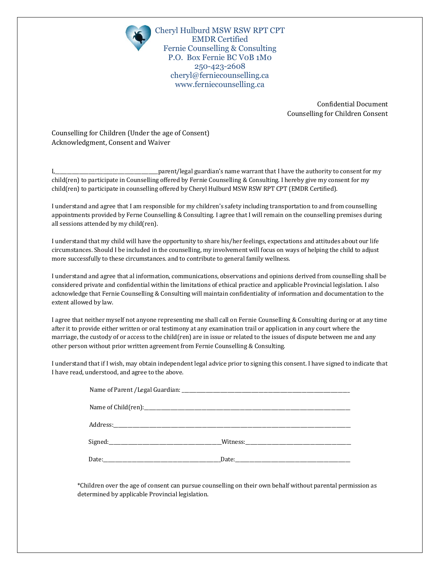

Cheryl Hulburd MSW RSW RPT CPT EMDR Certified Fernie Counselling & Consulting P.O. Box Fernie BC V0B 1M0 250-423-2608 cheryl@ferniecounselling.ca www.ferniecounselling.ca

> Confidential Document Counselling for Children Consent

Counselling for Children (Under the age of Consent) Acknowledgment, Consent and Waiver

I, The same of the same indicate the same warrant that I have the authority to consent for my child(ren) to participate in Counselling offered by Fernie Counselling & Consulting. I hereby give my consent for my child(ren) to participate in counselling offered by Cheryl Hulburd MSW RSW RPT CPT (EMDR Certified).

I understand and agree that I am responsible for my children's safety including transportation to and from counselling appointments provided by Ferne Counselling & Consulting. I agree that I will remain on the counselling premises during all sessions attended by my child(ren).

I understand that my child will have the opportunity to share his/her feelings, expectations and attitudes about our life circumstances. Should I be included in the counselling, my involvement will focus on ways of helping the child to adjust more successfully to these circumstances. and to contribute to general family wellness.

I understand and agree that al information, communications, observations and opinions derived from counselling shall be considered private and confidential within the limitations of ethical practice and applicable Provincial legislation. I also acknowledge that Fernie Counselling & Consulting will maintain confidentiality of information and documentation to the extent allowed by law.

I agree that neither myself not anyone representing me shall call on Fernie Counselling & Consulting during or at any time after it to provide either written or oral testimony at any examination trail or application in any court where the marriage, the custody of or access to the child(ren) are in issue or related to the issues of dispute between me and any other person without prior written agreement from Fernie Counselling & Consulting.

I understand that if I wish, may obtain independent legal advice prior to signing this consent. I have signed to indicate that I have read, understood, and agree to the above.

| Date: the contract of the contract of the contract of the contract of the contract of the contract of the contract of the contract of the contract of the contract of the contract of the contract of the contract of the cont | Date: the contract of the contract of the contract of the contract of the contract of the contract of the contract of the contract of the contract of the contract of the contract of the contract of the contract of the cont |
|--------------------------------------------------------------------------------------------------------------------------------------------------------------------------------------------------------------------------------|--------------------------------------------------------------------------------------------------------------------------------------------------------------------------------------------------------------------------------|

\*Children over the age of consent can pursue counselling on their own behalf without parental permission as determined by applicable Provincial legislation.